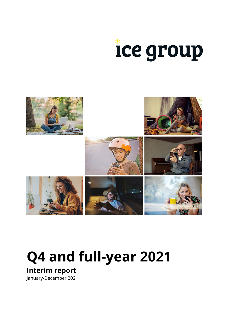



# **Q4 and full-year 2021**

**Interim report**

January-December 2021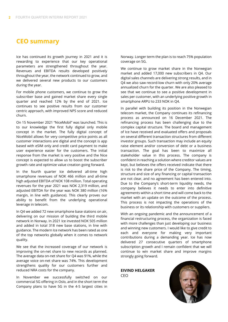# **CEO summary**

Ice has continued its growth journey in 2021 and it is rewarding to experience that our key operational parameters are strengthened throughout the year. Revenues and EBITDA results developed positively throughout the year, the network continued to grow, and we delivered several new products to our customers during the year.

For mobile phone customers, we continue to grow the subscriber base and gained market share every single quarter and reached 12% by the end of 2021. Ice continues to see positive results from our customer centric approach, with improved NPS score and reduced churn.

On 15 November 2021 "NiceMobil" was launched. This is to our knowledge the first fully digital only mobile concept in the market. The fully digital concept of NiceMobil allows for very competitive price points as all customer interactions are digital and the concept is app based with eSIM only and credit card payment to make user experience easier for the customers. The initial response from the market is very positive and the Nice concept is expected to allow us to boost the subscriber growth rate and optimize value creation going forward.

In the fourth quarter Ice delivered all-time high smartphone revenues of NOK 466 million and all-time high adjusted EBITDA of NOK 108 million. Total operating revenues for the year 2021 was NOK 2,319 million, and adjusted EBITDA for the year was NOK 380 million (16% margin, in line with guidance). This clearly proves our ability to benefit from the underlying operational leverage in telecom.

In Q4 we added 72 new smartphone base stations on air, delivering on our mission of building the third mobile network in Norway. In 2021 Ice invested NOK 505 million and added in total 318 new base stations, in line with guidance. The modern Ice network has been rated as one of the top networks globally when it comes to network quality.

We see that the increased coverage of our network is improving the on-net share to new records as planned. The average data on-net share for Q4 was 91%, while the average voice on-net share was 74%. This development strengthens quality for our customers further and reduced NRA costs for the company.

In November we successfully switched on our commercial 5G offering in Oslo, and in the short term the Company plans to have 5G in the 4-5 largest cities in

Norway. Longer term the plan is to reach 75% population coverage on 5G.

We continue to grow market share in the Norwegian market and added 17,000 new subscribers in Q4. Our digital sales channels are delivering strong results, and in Q4 we also saw record-low churn with only 20% average annualized churn for the quarter. We are also pleased to see that we continue to see a positive development in sales per customer, with an underlying positive growth in smartphone ARPU to 233 NOK in Q4.

In parallel with building its position in the Norwegian telecom market, the Company continues its refinancing process as announced on 16 December 2021. The refinancing process has been challenging due to the complex capital structure. The board and management of Ice have received and evaluated offers and proposals on several different transaction structures from different investor groups. Such transaction may include an equity raise element and/or conversion of debt or a business transaction. The goal has been to maximize all stakeholder value in this process. The company is confident in reaching a solution where creditor values are kept, but believes the offers received indicate that there is risk to the share price of the Company. The timing, structure and size of any financing or capital transaction are not clear, and no agreement has been entered into. Due to the Company's short-term liquidity needs, the company believes it needs to enter into definitive agreements within a short time and will come back to the market with an update on the outcome of the process. This process is not impacting the operations of the business or its relationship with customers or suppliers.

With an ongoing pandemic and the announcement of a financial restructuring process, the organization is faced with more challenges than just developing our business and winning new customers. I would like to give credit to each and everyone for making very important contributions during a demanding year. Ice has now delivered 27 consecutive quarters of smartphone subscription growth and I remain confident that we will continue to win market share and improve margins strongly going forward.

**EIVIND HELGAKER** CEO

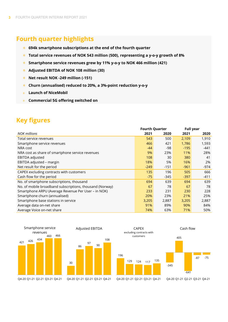# **Fourth quarter highlights**

- **694k smartphone subscriptions at the end of the fourth quarter**
- **Total service revenues of NOK 543 million (500), representing a y-o-y growth of 8%**
- **Smartphone service revenues grew by 11% y-o-y to NOK 466 million (421)**  $\frac{1}{\sqrt{2}}$
- **Adjusted EBITDA of NOK 108 million (30)**
- **Net result NOK -249 million (-151)**  $\frac{1}{2}$
- **Churn (annualised) reduced to 20%, a 3%-point reduction y-o-y**
- **Launch of NiceMobil** sie –
- **Commercial 5G offering switched on**

# **Key figures**

|                                                          | <b>Fourth Quarter</b> |        |        | <b>Full year</b> |
|----------------------------------------------------------|-----------------------|--------|--------|------------------|
| <b>NOK millions</b>                                      | 2021                  | 2020   | 2021   | 2020             |
| Total service revenues                                   | 543                   | 500    | 2,109  | 1,910            |
| Smartphone service revenues                              | 466                   | 421    | 1,786  | 1,593            |
| NRA cost                                                 | -44                   | -98    | $-195$ | $-441$           |
| NRA cost as share of smartphone service revenues         | 9%                    | 23%    | 11%    | 28%              |
| EBITDA adjusted                                          | 108                   | 30     | 380    | 41               |
| EBITDA adjusted - margin                                 | 18%                   | 5%     | 16%    | 2%               |
| Net result for the period                                | $-249$                | $-151$ | $-961$ | -974             |
| CAPEX excluding contracts with customers                 | 135                   | 196    | 505    | 666              |
| Cash flow for the period                                 | $-75$                 | $-345$ | $-397$ | $-411$           |
| No. of smartphone subscriptions, thousand                | 694                   | 639    | 694    | 639              |
| No. of mobile broadband subscriptions, thousand (Norway) | 67                    | 78     | 67     | 78               |
| Smartphone ARPU (Average Revenue Per User - in NOK)      | 233                   | 231    | 230    | 228              |
| Smartphone churn (annualised)                            | 20%                   | 23%    | 21%    | 25%              |
| Smartphone base stations in service                      | 3,205                 | 2,887  | 3,205  | 2,887            |
| Average data on-net share                                | 91%                   | 89%    | 90%    | 84%              |
| Average Voice on-net share                               | 74%                   | 63%    | 71%    | 50%              |





Adjusted EBITDA





Q4-20 Q1-21 Q2-21 Q3-21 Q4-21

Q4-20 Q1-21 Q2-21 Q3-21 Q4-21

Q4-20 Q1-21 Q2-21 Q3-21 Q4-21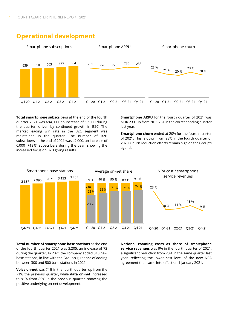

### **Operational development**

**Total smartphone subscribers** at the end of the fourth quarter 2021 was 694,000, an increase of 17,000 during the quarter, driven by continued growth in B2C. The market leading win rate in the B2C segment was maintained in the quarter. The number of B2B subscribers at the end of 2021 was 47,000, an increase of 6,000 (+13%) subscribers during the year, showing the increased focus on B2B giving results.

**Smartphone ARPU** for the fourth quarter of 2021 was NOK 233, up from NOK 231 in the corresponding quarter last year.

**Smartphone churn** ended at 20% for the fourth quarter of 2021. This is down from 23% in the fourth quarter of 2020. Churn reduction efforts remain high on the Group's agenda.



**Total number of smartphone base stations** at the end of the fourth quarter 2021 was 3,205, an increase of 72 during the quarter. In 2021 the company added 318 new base stations, in line with the Group's guidance of adding between 300 and 500 base stations in 2021.

**Voice on-net** was 74% in the fourth quarter, up from the 71% the previous quarter, while **data on-net** increased to 91% from 89% in the previous quarter, showing the positive underlying on-net development.

**National roaming costs as share of smartphone service revenues** was 9% in the fourth quarter of 2021, a significant reduction from 23% in the same quarter last year, reflecting the lower cost level of the new NRA agreement that came into effect on 1 January 2021.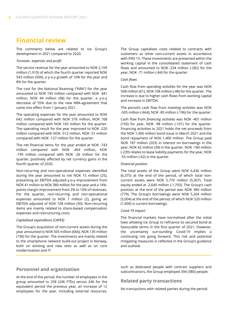# **Financial review**

The comments below are related to Ice Group's development in 2021 compared to 2020.

#### *Turnover, expenses and profit*

The service revenue for the year amounted to NOK 2,109 million (1,910) of which the fourth quarter reported NOK 543 million (500), a y-o-y growth of 10% for the year and 8% for the quarter.

The cost for the National Roaming ("NRA") for the year amounted to NOK 195 million compared with NOK 441 million, NOK 44 million (98) for the quarter, a y-o-y decrease of 55% due to the new NRA-agreement that came into effect from 1 January 2021.

The operating expenses for the year amounted to NOK 642 million compared with NOK 576 million, NOK 168 million compared with NOK 165 million for the quarter. The operating result for the year improved to NOK -220 million compared with NOK -512 million, NOK -51 million compared with NOK -127 million for the quarter.

The net financial items for the year ended at NOK -743 million compared with NOK -464 million, NOK -199 million compared with NOK -26 million for the quarter, positively affected by net currency gains in the fourth quarter of 2020.

Non-recurring and non-operational expenses identified during the year amounted to net NOK 15 million (25), presenting an EBITDA adjusted y-o-y improvement from NOK 41 million to NOK 380 million for the year and a 14% points margin improvement from 2% to 16% of revenues. For the quarter, non-recurring and non-operational expenses amounted to NOK 7 million (2), giving an EBITDA adjusted of NOK 108 million (30). Non-recurring items are mainly related to share-based compensation expenses and restructuring costs.

#### *Capitalised expenditure (CAPEX)*

The Group's acquisition of non-current assets during the year amounted to NOK 505 million (666), NOK 135 million (196) for the quarter. The investments are mainly related to the smartphone network build-out project in Norway, both on existing and new sites as well as on core modernisation and IT.

The Group capitalises costs related to contracts with customers as other non-current assets in accordance with IFRS 15. These investments are presented within the working capital in the consolidated statement of cash flows and amounted to NOK -234 million (-282) for the year, NOK -71 million (-84) for the quarter.

#### *Cash flows*

Cash flow from *operating activities* for the year was NOK 508 million (61), NOK 108 million (-48) for the quarter. The increase is due to higher cash flows from working capital and increase in EBITDA.

The period's cash flow from *investing activities* was NOK -505 million (-664), NOK -85 million (-196) for the quarter.

Cash flow from *financing activities* was NOK -401 million (193) for year, NOK -98 million (-101) for the quarter. Financing activities in 2021 holds the net proceeds from the NOK 1,400 million bond issue in March 2021 and the bond repayment of NOK 1,400 million. The Group paid NOK 187 million (203) in interest on borrowings in the year, NOK 42 million (39) in the quarter. NOK -180 million (-239) relates to lease liability payments for the year, NOK -55 million (-62) in the quarter.

#### *Financial position*

The total assets of the Group were NOK 6,436 million (6,375) at the end of the period, of which total noncurrent assets were NOK 5,776 million (5,307). Total equity ended at -2,649 million (-1,793). The Group's cash position at the end of the period was NOK 380 million (779). The Group's borrowings were NOK 5,264 million (5,004) at the end of the period, of which NOK 520 million (1,400) is current borrowings.

#### *Covid-19 impact*

The financial markets have normalised after the initial lows allowing Ice Group to refinance its secured bond at favourable terms in the first quarter of 2021. However, the uncertainty surrounding Covid-19 implies a continuing risk going forward. This risk and potential mitigating measures is reflected in the Group's guidance and outlook.

#### **Personnel and organisation**

At the end of the period, the number of employees in the group amounted to 258 (246 FTEs) versus 246 for the equivalent period the previous year, an increase of 12 employees for the year. Including external resources, such as dedicated people with contract suppliers and subcontractors, the Group employed 394 (380) people.

#### **Related party transactions**

No transactions with related parties during the period.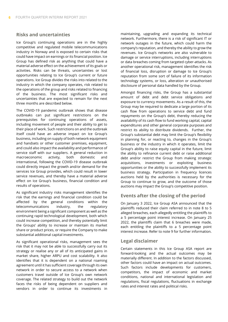#### **Risks and uncertainties**

Ice Group's continuing operations are in the highly competitive and regulated mobile telecommunications industry in Norway and is exposed to certain risks that could have impact on earnings or its financial position. Ice Group has defined risk as anything that could have a material adverse effect on the achievement of its goals or activities. Risks can be threats, uncertainties or lost opportunities relating to Ice Group's current or future operations. Ice Group divides the risks into related to the industry in which the company operates, risk related to the operations of the group and risks related to financing of the business. The most significant risks and uncertainties that are expected to remain for the next three months are described below.

The COVID-19 pandemic outbreak shows that disease outbreaks can put significant restrictions on the prerequisites for continuing operations of assets, including movement of people and their ability to get to their place of work. Such restrictions on and the outbreak itself could have an adverse impact on Ice Group's business, including on supply of both network equipment and handsets or other customer premises, equipment, and could also impact the availability and performance of service staff with our suppliers. A general reduction in macroeconomic activity, both domestic and international, following the COVID-19 disease outbreak could directly impact the growth and/or demand for the services Ice Group provides, which could result in lower service revenues, and thereby have a material adverse effect on Ice Group's business, financial condition and results of operations.

As significant industry risks management identifies the risk that the earnings and financial condition could be affected by the general conditions within the telecommunications industry, the regulatory environment being a significant component as well as the continuing rapid technological development, both which could increase competition, and thereby potentially limit the Groups' ability to increase or maintain its market share or product prices, or require the Company to make substantial additional capital investments.

As significant operational risks, management sees the risk that it may not be able to successfully carry out its strategy or realise any or all of its anticipated gains in market share, higher ARPU and cost scalability. It also identifies that it is dependent on a national roaming agreement until it has sufficient coverage through its own network in order to secure access to a network when customers travel outside of Ice Group's own network coverage. The related strategy to build out the network faces the risks of being dependent on suppliers and vendors in order to continue its investments in maintaining, upgrading and expanding its technical network. Furthermore, there is a risk of significant IT or network outages in the future, which could harm the company's reputation, and thereby the ability to grow the revenues. Ice Group's networks are also vulnerable to damage or service interruptions, including interruptions or data breaches coming from targeted cyber-attacks. As another operational risk, management identifies the risk of financial loss, disruption or damage to Ice Group's reputation from some sort of failure of its information technology systems, or loss, alteration or unauthorised disclosure of personal data handled by the Group.

Amongst financing risks, the Group has a substantial amount of debt and debt service obligations and exposure to currency movements. As a result of this, the Group may be required to dedicate a large portion of its cash flow from operations to service debt and fund repayments on the Group's debt, thereby reducing the availability of its cash flow to fund working capital, capital expenditures and other general corporate purposes and restrict its ability to distribute dividends. Further, the Group's substantial debt may limit the Group's flexibility in planning for, or reacting to, changes in the Group's business or the industry in which it operates, limit the Group's ability to raise equity capital in the future, limit the ability to refinance current debt or raise additional debt and/or restrict the Group from making strategic acquisitions, investments or exploiting business opportunities or the ability to successfully implement its business strategy. Participation in frequency licences auctions held by the authorities is necessary for the Group to continue to grow, and the outcome of those auctions may impact the Group's competitive position.

#### **Events after the closing of the period**

On January 3 2022, Ice Group ASA announced that the plaintiffs reduced their claim referred to in note 8 to 5 alleged breaches, each allegedly entitling the plaintiffs to a 5 percentage point interest increase. On January 25 2022, the plaintiffs claim that 6 breaches were made, each entitling the plaintiffs to a 5 percentage point interest increase. Refer to note 9 for further information.

#### **Legal disclaimer**

Certain statements in this Ice Group ASA report are forward-looking and the actual outcomes may be materially different. In addition to the factors discussed, other factors could have an impact on actual outcomes. Such factors include developments for customers, competitors, the impact of economic and market conditions, national and international legislation and regulations, fiscal regulations, fluctuations in exchange rates and interest rates and political risks.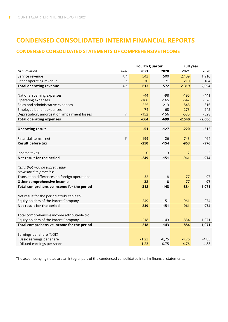# **CONDENSED CONSOLIDATED INTERIM FINANCIAL REPORTS**

#### **CONDENSED CONSOLIDATED STATEMENTS OF COMPREHENSIVE INCOME**

|                                               |             | <b>Fourth Quarter</b> |         | <b>Full year</b> |          |  |
|-----------------------------------------------|-------------|-----------------------|---------|------------------|----------|--|
| <b>NOK millions</b>                           | <b>Note</b> | 2021                  | 2020    | 2021             | 2020     |  |
| Service revenue                               | 4, 5        | 543                   | 500     | 2,109            | 1,910    |  |
| Other operating revenue                       | 5           | 70                    | 71      | 210              | 184      |  |
| <b>Total operating revenue</b>                | 4, 5        | 613                   | 572     | 2,319            | 2,094    |  |
|                                               |             |                       |         |                  |          |  |
| National roaming expenses                     |             | $-44$                 | $-98$   | $-195$           | -441     |  |
| Operating expenses                            |             | $-168$                | $-165$  | $-642$           | $-576$   |  |
| Sales and administrative expenses             |             | $-225$                | $-213$  | $-845$           | $-816$   |  |
| Employee benefit expenses                     |             | $-74$                 | $-68$   | $-273$           | $-245$   |  |
| Depreciation, amortisation, impairment losses | 7           | $-152$                | $-156$  | $-585$           | $-528$   |  |
| <b>Total operating expenses</b>               |             | $-664$                | $-699$  | $-2,540$         | $-2,606$ |  |
|                                               |             |                       |         |                  |          |  |
| <b>Operating result</b>                       |             | $-51$                 | $-127$  | $-220$           | $-512$   |  |
|                                               |             |                       |         |                  |          |  |
| Financial items - net                         | 6           | $-199$                | $-26$   | $-743$           | $-464$   |  |
| <b>Result before tax</b>                      |             | $-250$                | $-154$  | $-963$           | $-976$   |  |
|                                               |             |                       |         |                  |          |  |
| Income taxes                                  |             | $\overline{0}$        | 3       | $\overline{2}$   | 2        |  |
| Net result for the period                     |             | $-249$                | $-151$  | $-961$           | $-974$   |  |
|                                               |             |                       |         |                  |          |  |
| Items that may be subsequently                |             |                       |         |                  |          |  |
| reclassified to profit loss:                  |             |                       |         |                  |          |  |
| Translation differences on foreign operations |             | 32                    | $\,8\,$ | 77               | $-97$    |  |
| Other comprehensive income                    |             | 32                    | 8       | 77               | $-97$    |  |
| Total comprehensive income for the period     |             | $-218$                | $-143$  | $-884$           | $-1,071$ |  |
|                                               |             |                       |         |                  |          |  |
| Net result for the period attributable to:    |             |                       |         |                  |          |  |
| Equity holders of the Parent Company          |             | $-249$                | $-151$  | $-961$           | $-974$   |  |
| Net result for the period                     |             | $-249$                | $-151$  | $-961$           | $-974$   |  |
|                                               |             |                       |         |                  |          |  |
| Total comprehensive income attributable to:   |             |                       |         |                  |          |  |
| Equity holders of the Parent Company          |             | $-218$                | $-143$  | $-884$           | $-1,071$ |  |
| Total comprehensive income for the period     |             | $-218$                | $-143$  | $-884$           | $-1,071$ |  |
|                                               |             |                       |         |                  |          |  |
| Earnings per share (NOK)                      |             |                       |         |                  |          |  |
| Basic earnings per share                      |             | $-1.23$               | $-0,75$ | $-4.76$          | $-4.83$  |  |
| Diluted earnings per share                    |             | $-1.23$               | $-0.75$ | $-4.76$          | $-4.83$  |  |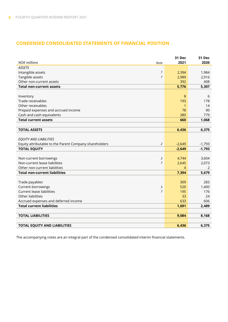#### **CONDENSED CONSOLIDATED STATEMENTS OF FINANCIAL POSITION**

| <b>NOK millions</b>                                    | 31 Dec<br>2021          | 31 Dec<br>2020 |
|--------------------------------------------------------|-------------------------|----------------|
| Note<br><b>ASSETS</b>                                  |                         |                |
|                                                        | 7                       |                |
| Intangible assets                                      | 2,394<br>$\overline{7}$ | 1,984          |
| Tangible assets<br>Other non-current assets            | 2,989<br>392            | 2,916<br>408   |
| <b>Total non-current assets</b>                        | 5,776                   | 5,307          |
|                                                        |                         |                |
| Inventory                                              | 8                       | 6              |
| Trade receivables                                      | 193                     | 178            |
| Other receivables                                      | 1                       | 14             |
| Prepaid expenses and accrued income                    | 78                      | 90             |
| Cash and cash equivalents                              | 380                     | 779            |
| <b>Total current assets</b>                            | 660                     | 1,068          |
|                                                        |                         |                |
| <b>TOTAL ASSETS</b>                                    | 6,436                   | 6,375          |
|                                                        |                         |                |
| <b>EQUITY AND LIABILITIES</b>                          |                         |                |
| Equity attributable to the Parent Company shareholders | 2<br>$-2,649$           | $-1,793$       |
| <b>TOTAL EQUITY</b>                                    | $-2,649$                | $-1,793$       |
|                                                        |                         |                |
| Non-current borrowings                                 | 3<br>4,744              | 3,604          |
| Non-current lease liabilities                          | $\overline{7}$<br>2,645 | 2,073          |
| Other non-current liabilities                          | $\overline{4}$          | 2              |
| <b>Total non-current liabilities</b>                   | 7,394                   | 5,679          |
|                                                        |                         |                |
| Trade payables                                         | 309                     | 283            |
| Current borrowings<br>3                                | 520                     | 1,400          |
| <b>Current lease liabilities</b>                       | $\overline{7}$<br>195   | 176            |
| Other liabilities                                      | 33                      | 24             |
| Accrued expenses and deferred income                   | 633                     | 606            |
| <b>Total current liabilities</b>                       | 1,691                   | 2,489          |
|                                                        |                         |                |
| <b>TOTAL LIABILITIES</b>                               | 9,084                   | 8,168          |
|                                                        |                         |                |
| <b>TOTAL EQUITY AND LIABILITIES</b>                    | 6,436                   | 6,375          |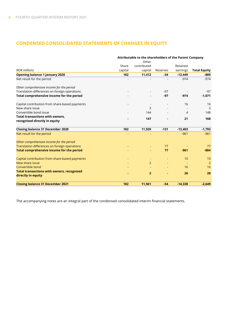#### **CONDENSED CONSOLIDATED STATEMENTS OF CHANGES IN EQUITY**

|                                                                         | Attributable to the shareholders of the Parent Company |                |          |           |                     |  |  |
|-------------------------------------------------------------------------|--------------------------------------------------------|----------------|----------|-----------|---------------------|--|--|
|                                                                         |                                                        | Other          |          |           |                     |  |  |
|                                                                         | Share                                                  | contributed    |          | Retained  |                     |  |  |
| <b>NOK</b> millions                                                     | capital                                                | capital        | Reserves | earnings  | <b>Total Equity</b> |  |  |
| <b>Opening balance 1 January 2020</b>                                   | 182                                                    | 11,412         | -34      | $-12,449$ | -889                |  |  |
| Net result for the period                                               |                                                        |                |          | $-974$    | $-974$              |  |  |
| Other comprehensive income for the period                               |                                                        |                |          |           |                     |  |  |
| Translation differences on foreign operations                           |                                                        |                | $-97$    |           | $-97$               |  |  |
| Total comprehensive income for the period                               |                                                        |                | $-97$    | $-974$    | $-1,071$            |  |  |
| Capital contribution from share-based payments                          |                                                        |                |          | 16        | 16                  |  |  |
| New share issue                                                         |                                                        | 3              |          |           | 3                   |  |  |
| Convertible bond issue                                                  |                                                        | 144            |          | 4         | 148                 |  |  |
| <b>Total transactions with owners,</b>                                  |                                                        | 147            |          | 21        | 168                 |  |  |
| recognised directly in equity                                           |                                                        |                |          |           |                     |  |  |
| <b>Closing balance 31 December 2020</b>                                 | 182                                                    | 11,559         | $-131$   | $-13,403$ | $-1,793$            |  |  |
| Net result for the period                                               |                                                        |                |          | $-961$    | $-961$              |  |  |
| Other comprehensive income for the period                               |                                                        |                |          |           |                     |  |  |
| Translation differences on foreign operations                           |                                                        |                | 77       |           | 77                  |  |  |
| <b>Total comprehensive income for the period</b>                        |                                                        |                | 77       | $-961$    | $-884$              |  |  |
| Capital contribution from share-based payments                          |                                                        |                |          | 10        | 10                  |  |  |
| New share issue                                                         |                                                        | $\overline{2}$ |          |           | $\overline{2}$      |  |  |
| Convertible bond                                                        |                                                        |                |          | 16        | 16                  |  |  |
| <b>Total transactions with owners, recognised</b><br>directly in equity |                                                        | $\overline{2}$ |          | 26        | 28                  |  |  |
| <b>Closing balance 31 December 2021</b>                                 | 182                                                    | 11,561         | $-54$    | $-14,338$ | $-2,649$            |  |  |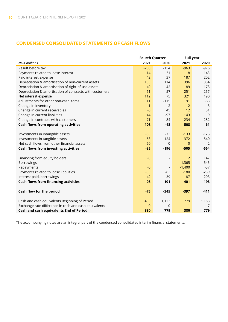#### **CONDENSED CONSOLIDATED STATEMENTS OF CASH FLOWS**

|                                                         | <b>Fourth Quarter</b> |                | <b>Full year</b> |        |
|---------------------------------------------------------|-----------------------|----------------|------------------|--------|
| <b>NOK millions</b>                                     | 2021                  | 2020           | 2021             | 2020   |
| Result before tax                                       | $-250$                | $-154$         | $-963$           | $-976$ |
| Payments related to lease interest                      | 14                    | 31             | 118              | 143    |
| Paid interest expense                                   | 42                    | 37             | 187              | 202    |
| Depreciation & amortisation of non-current assets       | 103                   | 114            | 396              | 354    |
| Depreciation & amortisation of right-of-use assets      | 49                    | 42             | 189              | 173    |
| Depreciation & amortisation of contracts with customers | 61                    | 57             | 251              | 257    |
| Net interest expense                                    | 112                   | 75             | 321              | 190    |
| Adjustments for other non-cash items                    | 11                    | $-115$         | 91               | $-63$  |
| Change in inventory                                     | $-1$                  | $\overline{2}$ | $-2$             | 3      |
| Change in current receivables                           | $-6$                  | 45             | 12               | 51     |
| Change in current liabilities                           | 44                    | $-97$          | 143              | 9      |
| Change in contracts with customers                      | $-71$                 | $-84$          | $-234$           | $-282$ |
| <b>Cash flows from operating activities</b>             | 108                   | $-48$          | 508              | 61     |
|                                                         |                       |                |                  |        |
| Investments in intangible assets                        | $-83$                 | $-72$          | $-133$           | $-125$ |
| Investments in tangible assets                          | $-53$                 | $-124$         | $-372$           | $-540$ |
| Net cash flows from other financial assets              | 50                    | 0              | $\mathbf{0}$     | 2      |
| <b>Cash flows from investing activities</b>             | $-85$                 | $-196$         | $-505$           | $-664$ |
|                                                         |                       |                |                  |        |
| Financing from equity holders                           | $-0$                  |                | $\overline{2}$   | 147    |
| Borrowings                                              |                       |                | 1,365            | 545    |
| Repayments                                              | $-0$                  |                | $-1,400$         | $-57$  |
| Payments related to lease liabilities                   | $-55$                 | $-62$          | $-180$           | $-239$ |
| Interest paid, borrowings                               | $-42$                 | $-39$          | $-187$           | $-203$ |
| <b>Cash flows from financing activities</b>             | $-98$                 | $-101$         | $-401$           | 193    |
|                                                         |                       |                |                  |        |
| Cash flow for the period                                | $-75$                 | $-345$         | $-397$           | $-411$ |
|                                                         |                       |                |                  |        |
| Cash and cash equivalents Beginning of Period           | 455                   | 1,123          | 779              | 1,183  |
| Exchange rate difference in cash and cash equivalents   | $-0$                  | 0              | $-1$             | 7      |
| Cash and cash equivalents End of Period                 | 380                   | 779            | 380              | 779    |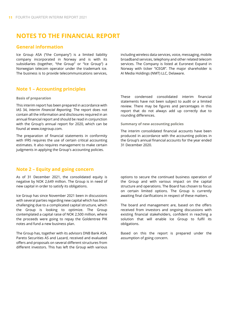## **NOTES TO THE FINANCIAL REPORT**

#### **General information**

Ice Group ASA ("the Company") is a limited liability company incorporated in Norway and is with its subsidiaries (together, "the Group" or "Ice Group") a Norwegian telecom operator under the trademark ice. The business is to provide telecommunications services,

including wireless data services, voice, messaging, mobile broadband services, telephony and other related telecom services. The Company is listed at Euronext Expand in Norway with ticker "ICEGR". The major shareholder is AI Media Holdings (NMT) LLC, Delaware.

#### **Note 1 – Accounting principles**

#### **Basis of preparation**

This interim report has been prepared in accordance with IAS 34, *Interim Financial Reporting*. The report does not contain all the information and disclosures required in an annual financial report and should be read in conjunction with the Group's annual report for 2020, which can be found at www.icegroup.com.

The preparation of financial statements in conformity with IFRS requires the use of certain critical accounting estimates. It also requires management to make certain judgments in applying the Group's accounting policies.

#### **Note 2 – Equity and going concern**

As of 31 December 2021, the consolidated equity is negative by NOK 2,649 million. The Group is in need of new capital in order to satisfy its obligations.

Ice Group has since November 2021 been in discussions with several parties regarding new capital which has been challenging due to a complicated capital structure, which the Group is looking to optimize. The Group contemplated a capital raise of NOK 2,500 million, where the proceeds were going to repay the Goldentree PIK notes and fund a new business plan.

The Group has, together with its advisors DNB Bank ASA, Pareto Securities AS and Lazard, received and evaluated offers and proposals on several different structures from different investors. This has left the Group with various These condensed consolidated interim financial statements have not been subject to audit or a limited review. There may be figures and percentages in this report that do not always add up correctly due to rounding differences.

**Summary of new accounting policies**

The interim consolidated financial accounts have been produced in accordance with the accounting policies in the Group's annual financial accounts for the year ended 31 December 2020.

options to secure the continued business operation of the Group and with various impact on the capital structure and operations. The Board has chosen to focus on certain limited options. The Group is currently awaiting final clarifications in respect of these matters.

The board and management are, based on the offers received from investors and ongoing discussions with existing financial stakeholders, confident in reaching a solution that will enable Ice Group to fulfil its obligations.

Based on this the report is prepared under the assumption of going concern.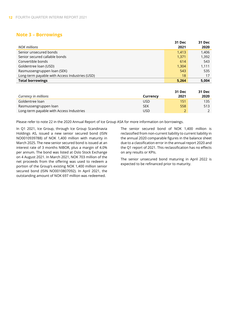#### **Note 3 – Borrowings**

|                                                | 31 Dec | <b>31 Dec</b> |
|------------------------------------------------|--------|---------------|
| NOK millions                                   | 2021   | 2020          |
| Senior unsecured bonds                         | 1,413  | 1,406         |
| Senior secured callable bonds                  | 1,371  | 1,392         |
| Convertible bonds                              | 614    | 543           |
| Goldentree loan (USD)                          | 1,304  | 1,111         |
| Rasmussengruppen loan (SEK)                    | 543    | 535           |
| Long-term payable with Access Industries (USD) | 18     | 17            |
| <b>Total borrowings</b>                        | 5,264  | 5,004         |

|                                          |            | 31 Dec | 31 Dec |
|------------------------------------------|------------|--------|--------|
| Currency in millions                     | Currency   | 2021   | 2020   |
| Goldentree loan                          | JSD        | 151    | 135    |
| Rasmussengruppen loan                    | <b>SEK</b> | 558    | 513    |
| Long-term payable with Access Industries | JSD        |        |        |

Please refer to note 22 in the 2020 Annual Report of Ice Group ASA for more information on borrowings.

In Q1 2021, Ice Group, through Ice Group Scandinavia Holdings AS, issued a new senior secured bond (ISIN NO0010939788) of NOK 1,400 million with maturity in March 2025. The new senior secured bond is issued at an interest rate of 3 months NIBOR, plus a margin of 4.0% per annum. The bond was listed at Oslo Stock Exchange on 4 August 2021. In March 2021, NOK 703 million of the net proceeds from the offering was used to redeem a portion of the Group's existing NOK 1,400 million senior secured bond (ISIN NO0010807092). In April 2021, the outstanding amount of NOK 697 million was redeemed.

The senior secured bond of NOK 1,400 million is reclassified from non-current liability to current liability in the annual 2020 comparable figures in the balance sheet due to a classification error in the annual report 2020 and the Q1 report of 2021. This reclassification has no effects on any results or KPIs.

The senior unsecured bond maturing in April 2022 is expected to be refinanced prior to maturity.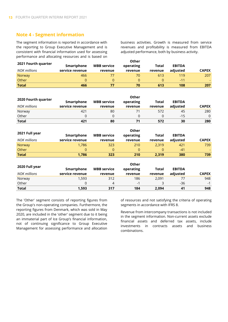#### **Note 4 - Segment information**

The segment information is reported in accordance with the reporting to Group Executive Management and is consistent with financial information used for assessing performance and allocating resources and is based on business activities. Growth is measured from service revenues and profitability is measured from EBITDA adjusted performance, both by business activity.

|                     | Other           |                    |           |         |               |              |
|---------------------|-----------------|--------------------|-----------|---------|---------------|--------------|
| 2021 Fourth quarter | Smartphone      | <b>MBB</b> service | operating | Total   | <b>EBITDA</b> |              |
| NOK millions        | service revenue | revenue            | revenue   | revenue | adjusted      | <b>CAPEX</b> |
| Norway              | 466             |                    | 70        | 613     | 119           | 207          |
| Other               | 0               |                    |           | O.      | $-11$         |              |
| <b>Total</b>        | 466             | 77                 | 70        | 613     | 108           | 207          |

|                     | Other           |                    |           |         |               |              |
|---------------------|-----------------|--------------------|-----------|---------|---------------|--------------|
| 2020 Fourth quarter | Smartphone      | <b>MBB service</b> | operating | Total   | <b>EBITDA</b> |              |
| NOK millions        | service revenue | revenue            | revenue   | revenue | adjusted      | <b>CAPEX</b> |
| Norway              | 421             | 80                 |           | 572     | 45            | 280          |
| Other               |                 |                    |           |         | $-15$         | 0            |
| <b>Total</b>        | 421             | 80                 |           | 572     | 30            | 280          |

| 2021 Full year | Smartphone      | <b>MBB</b> service | <b>Other</b><br>operating | Total   | <b>EBITDA</b> |              |
|----------------|-----------------|--------------------|---------------------------|---------|---------------|--------------|
| NOK millions   | service revenue | revenue            | revenue                   | revenue | adjusted      | <b>CAPEX</b> |
| Norway         | 1.786           | 323                | 210                       | 2.319   | 421           | 739          |
| Other          | 0               | 0                  | 0                         |         | $-41$         | $\sim$       |
| <b>Total</b>   | 1,786           | 323                | 210                       | 2,319   | 380           | 739          |

| 2020 Full year | Smartphone      | <b>MBB</b> service | Other<br>operating | Total   | <b>EBITDA</b> |              |
|----------------|-----------------|--------------------|--------------------|---------|---------------|--------------|
| NOK millions   | service revenue | revenue            | revenue            | revenue | adjusted      | <b>CAPEX</b> |
| Norway         | 1,593           | 312                | 186                | 2.091   | 77            | 948          |
| Other          | 0               | 4                  | -1                 |         | $-36$         | $-1$         |
| <b>Total</b>   | 1.593           | 317                | 184                | 2.094   | 41            | 948          |

The 'Other' segment consists of reporting figures from the Group's non-operating companies. Furthermore, the reporting figures from Denmark, which was sold in May 2020, are included in the 'other' segment due to it being an immaterial part of Ice Group's financial information, not of continuing significance to Group Executive Management for assessing performance and allocation

of resources and not satisfying the criteria of operating segments in accordance with IFRS 8.

Revenue from intercompany transactions is not included in the segment information. Non-current assets exclude financial assets and deferred tax assets, include investments in contracts assets and business combinations.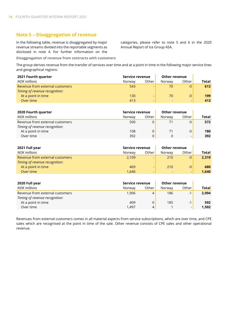#### **Note 5 – Disaggregation of revenue**

In the following table, revenue is disaggregated by major revenue streams divided into the reportable segments as disclosed in note 4. For further information on the categories, please refer to note 5 and 6 in the 2020 Annual Report of Ice Group ASA.

**Disaggregation of revenue from contracts with customers**

The group derives revenue from the transfer of services over time and at a point in time in the following major service lines and geographical regions:

| 2021 Fourth quarter             | Service revenue |                          | <b>Other revenue</b> |       |       |
|---------------------------------|-----------------|--------------------------|----------------------|-------|-------|
| NOK millions                    | Norway          | Other                    | Norway               | Other | Total |
| Revenue from external customers | 543             | -                        | 70                   | $-0$  | 613   |
| Timing of revenue recognition:  |                 |                          |                      |       |       |
| At a point in time              | 130             | -                        | 70                   | -0    | 199   |
| Over time                       | 413             | $\overline{\phantom{0}}$ |                      | -     | 413   |

| 2020 Fourth quarter             | Service revenue |       | <b>Other revenue</b> |       |              |
|---------------------------------|-----------------|-------|----------------------|-------|--------------|
| <b>NOK</b> millions             | Norway          | Other | Norway               | Other | <b>Total</b> |
| Revenue from external customers | 500             |       |                      | -0    | 572          |
| Timing of revenue recognition:  |                 |       |                      |       |              |
| At a point in time              | 108             |       |                      | $-0$  | 180          |
| Over time                       | 392             | 0     |                      |       | 392          |

| 2021 Full year                  | Service revenue |                | Other revenue |       |       |
|---------------------------------|-----------------|----------------|---------------|-------|-------|
| <b>NOK</b> millions             | Norway          | Other          | Norway        | Other | Total |
| Revenue from external customers | 2,109           |                | 210           | $-0$  | 2,319 |
| Timing of revenue recognition:  |                 |                |               |       |       |
| At a point in time              | 469             | -              | 210           | $-0$  | 680   |
| Over time                       | 1,640           | $\overline{a}$ |               |       | 1.640 |

| 2020 Full year                  | Service revenue |       | Other revenue |       |       |
|---------------------------------|-----------------|-------|---------------|-------|-------|
| <b>NOK millions</b>             | Norway          | Other | Norway        | Other | Total |
| Revenue from external customers | 1.906           | 4     | 186           | $-1$  | 2,094 |
| Timing of revenue recognition:  |                 |       |               |       |       |
| At a point in time              | 409             |       | 185           | $-1$  | 592   |
| Over time                       | 1.497           | 4     |               | -     | 1,502 |

Revenues from external customers comes in all material aspects from service subscriptions, which are over time, and CPE sales which are recognised at the point in time of the sale. Other revenue consists of CPE sales and other operational revenue.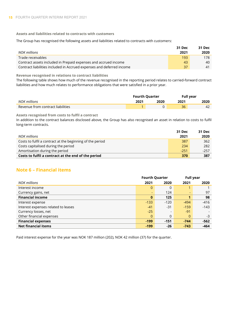**Assets and liabilities related to contracts with customers**

The Group has recognised the following assets and liabilities related to contracts with customers:

|                                                                       | 31 Dec | 31 Dec |
|-----------------------------------------------------------------------|--------|--------|
| NOK millions                                                          | 2021   | 2020   |
| Trade receivables                                                     | 193    | 178.   |
| Contract assets included in Prepaid expenses and accrued income       | 43     | 40     |
| Contract liabilities included in Accrued expenses and deferred income | -37    |        |

**Revenue recognised in relations to contract liabilities**

The following table shows how much of the revenue recognised in the reporting period relates to carried-forward contract liabilities and how much relates to performance obligations that were satisfied in a prior year.

|                                   | <b>Fourth Quarter</b> |      |      | <b>Full year</b> |  |
|-----------------------------------|-----------------------|------|------|------------------|--|
| NOK millions                      | 2021                  | 2020 | 2021 | 2020             |  |
| Revenue from contract liabilities |                       |      | 36   | 42               |  |

**Assets recognised from costs to fulfil a contract**

In addition to the contract balances disclosed above, the Group has also recognised an asset in relation to costs to fulfil long-term contracts.

|                                                           | 31 Dec | 31 Dec |
|-----------------------------------------------------------|--------|--------|
| NOK millions                                              | 2021   | 2020   |
| Costs to fulfil a contract at the beginning of the period | 387    | 362    |
| Costs capitalised during the period                       | 234    | 282    |
| Amortisation during the period                            | $-251$ | $-257$ |
| Costs to fulfil a contract at the end of the period       | 370    | 387    |

#### **Note 6 – Financial items**

|                                     | <b>Fourth Quarter</b> |                          |                          | <b>Full year</b> |
|-------------------------------------|-----------------------|--------------------------|--------------------------|------------------|
| <b>NOK</b> millions                 | 2021                  | 2020                     | 2021                     | 2020             |
| Interest income                     | $\mathbf{0}$          | $\Omega$                 |                          |                  |
| Currency gains, net                 | ۰                     | 124                      | $\overline{\phantom{0}}$ | 97               |
| <b>Financial income</b>             | $\bf{0}$              | 125                      |                          | 98               |
| Interest expense                    | $-133$                | $-120$                   | $-494$                   | $-416$           |
| Interest expenses related to leases | $-41$                 | $-31$                    | $-159$                   | $-143$           |
| Currency losses, net                | $-25$                 | $\overline{\phantom{0}}$ | $-91$                    |                  |
| Other financial expenses            | $\Omega$              | $\Omega$                 | $\Omega$                 | -3               |
| <b>Financial expenses</b>           | $-199$                | $-151$                   | $-744$                   | $-562$           |
| <b>Net financial items</b>          | $-199$                | $-26$                    | $-743$                   | -464             |

Paid interest expense for the year was NOK 187 million (202), NOK 42 million (37) for the quarter.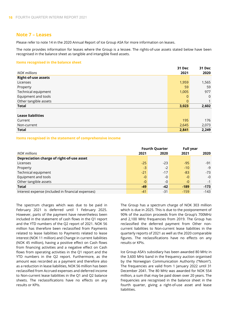#### **Note 7 – Leases**

Please refer to note 14 in the 2020 Annual Report of Ice Group ASA for more information on leases.

The note provides information for leases where the Group is a lessee. The rights-of-use assets stated below have been recognised in the balance sheet as tangible and intangible fixed assets.

#### **Items recognised in the balance sheet**

|                            | 31 Dec      | <b>31 Dec</b>  |
|----------------------------|-------------|----------------|
| <b>NOK</b> millions        | 2021        | 2020           |
| <b>Right-of-use assets</b> |             |                |
| Licenses                   | 1,959       | 1,565          |
| Property                   | 59          | 59             |
| Technical equipment        | 1,005       | 977            |
| Equipment and tools        | $\Omega$    | $\overline{0}$ |
| Other tangible assets      | $\mathbf 0$ |                |
| <b>Total</b>               | 3,023       | 2,602          |
|                            |             |                |
| <b>Lease liabilities</b>   |             |                |
| Current                    | 195         | 176            |
| Non-current                | 2,645       | 2,073          |
| <b>Total</b>               | 2,841       | 2,249          |

#### **Items recognised in the statement of comprehensive income**

|                                                   | <b>Fourth Quarter</b> |       | <b>Full year</b> |        |
|---------------------------------------------------|-----------------------|-------|------------------|--------|
| <b>NOK</b> millions                               | 2021                  | 2020  | 2021             | 2020   |
| Depreciation charge of right-of-use asset         |                       |       |                  |        |
| Licenses                                          | $-25$                 | $-23$ | $-95$            | -91    |
| Property                                          | $-3$                  | $-2$  | $-10$            | $-9$   |
| Technical equipment                               | $-21$                 | $-17$ | $-83$            | $-73$  |
| Equipment and tools                               | $-0$                  | $-0$  | $-0$             | $-0$   |
| Other tangible assets                             | $-0$                  | $-0$  | $-0$             | $-1$   |
| Total                                             | $-49$                 | $-42$ | $-189$           | $-173$ |
| Interest expense (included in financial expenses) | $-41$                 | $-31$ | $-159$           | $-143$ |
|                                                   |                       |       |                  |        |

The spectrum charges which was due to be paid in February 2021 is deferred until 1 February 2025. However, parts of the payment have nevertheless been included in the statement of cash flows in the Q1 report and the YTD numbers of the Q2 report of 2021. NOK 56 million has therefore been reclassified from Payments related to lease liabilities to Payments related to lease interest (NOK 11 million) and Change in current liabilities (NOK 45 million), having a positive effect on Cash flows from financing activities and a negative effect on Cash flows from operating activities in the Q1 report and the YTD numbers in the Q2 report. Furthermore, as the amount was recorded as a payment and therefore also as a reduction in lease liabilities, NOK 56 million has been reclassified from Accrued expenses and deferred income to Non-current lease liabilities in the Q1 and Q2 balance sheets. The reclassifications have no effects on any results or KPIs.

The Group has a spectrum charge of NOK 303 million which is due in 2025. This is due to the postponement of 90% of the auction proceeds from the Group's 700MHz and 2,100 MHz frequencies from 2019. The Group has reclassified the deferred payment from Other noncurrent liabilities to Non-current lease liabilities in the quarterly reports of 2021 as well as the 2020 comparable figures. The reclassifications have no effects on any results or KPIs.

Ice Group ASA's subsidiary has been awarded 80 MHz in the 3,600 MHz band in the frequency auction organised by the Norwegian Communication Authority ("Nkom"). The frequencies are valid from 1 January 2022 until 31 December 2041. The 80 MHz was awarded for NOK 554 million, a sum that may be paid down over 20 years. The frequencies are recognised in the balance sheet in the fourth quarter, giving a right-of-use asset and lease liabilities.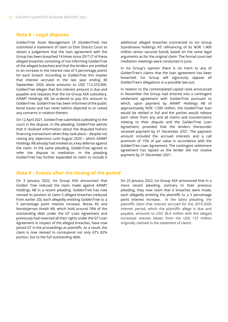#### **Note 8 – Legal disputes**

GoldenTree Asset Management LP (GoldenTree) has submitted a statement of claim to Oslo District Court to obtain a judgement that the loan agreement with the Group has been breached 14 times since 2017 (7 of these alleged breaches consisting of not informing GoldenTree of the alleged breaches) and that the lenders are entitled to an increase in the interest rate of 5 percentage points for each breach. According to GoldenTree this implies that interest accrued in the last year ending 30 September 2020 alone amounts to USD 112,376,900. GoldenTree alleges that this interest amount is due and payable and requests that the Ice Group ASA subsidiary, AINMT Holdings AB, be ordered to pay this amount to GoldenTree. GoldenTree has been informed of the public bond issues and has never before objected to or raised any concerns in relation thereto.

On 12 April 2021, GoldenTree submitted a pleading to the court in the dispute. In the pleading, GoldenTree admits that it received information about the disputed historic financing transactions when they took place – despite not raising any objections until August 2020 – which AINMT Holdings AB already had invoked as a key defense against the claim. In the same pleading, GoldenTree agreed to refer the dispute to mediation. In the pleading GoldenTree has further expanded its claim to include 6

additional alleged breaches (connected to Ice Group Scandinavia Holdings AS' refinancing of its NOK 1,400 million senior secured bond), based on the same legal arguments as for the original claim. The formal court-led mediation meetings were conducted in June.

In Ice Group's opinion there is no merit to any of GoldenTree's claims that the loan agreement has been breached. Ice Group will vigorously oppose all GoldenTree's allegations in a possible law-suit.

In relation to the contemplated capital raise announced in November the Group had entered into a contingent settlement agreement with GoldenTree pursuant to which, upon payment by AINMT Holdings AB of approximately NOK 1,500 million, the GoldenTree loan would be settled in full and the parties would release each other from any and all claims and counterclaims relating to their dispute and the GoldenTree Loan Agreement, provided that the lenders thereunder received payment by 31 December 2021. The payment amount included the accrued interests and a call premium of 15% of par value in accordance with the GoldenTree Loan Agreement. The contingent settlement agreement has lapsed as the lender did not receive payment by 31 December 2021.

#### **Note 9 – Events after the closing of the period**

On 3 January 2022, Ice Group ASA announced that Golden Tree reduced the claim made against AINMT Holdings AB in a recent pleading. GoldenTree has now revised its position to claim 5 alleged breaches (reduced from earlier 20), each allegedly entitling GoldenTree to a 5 percentage point interest increase. Borea AS and Nordstjernan Kredit AB, which hold around 18% of the outstanding debt under the GT Loan Agreement and previously had reserved all their rights under the GT Loan Agreement in respect of the alleged breaches, have now joined GT in the proceedings as plaintiffs. As a result, the claim is now revised to correspond not only GT's 82% portion, but to the full outstanding debt.

On 25 January 2022, Ice Group ASA announced that in a more recent pleading, contrary to their previous pleading, they now claim that 6 breaches were made, each allegedly entitling the plaintiffs to a 5 percentage point interest increase. In the latest pleading, the plaintiffs claim that interest accrued for the 2019-2020 interest period, which the plaintiffs allege is due and payable, amounts to USD 36.4 million with the alleged increased interest (down from the USD 137 million originally claimed in the statement of claim).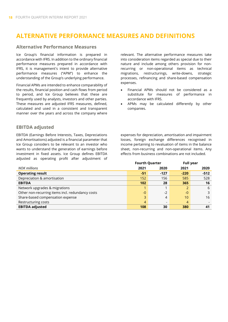# **ALTERNATIVE PERFORMANCE MEASURES AND DEFINITIONS**

#### **Alternative Performance Measures**

Ice Group's financial information is prepared in accordance with IFRS. In addition to the ordinary financial performance measures prepared in accordance with IFRS, it is management's intent to provide alternative performance measures ("APM") to enhance the understanding of the Group's underlying performance.

Financial APMs are intended to enhance comparability of the results, financial position and cash flows from period to period, and Ice Group believes that these are frequently used by analysts, investors and other parties. These measures are adjusted IFRS measures, defined, calculated and used in a consistent and transparent manner over the years and across the company where

#### **EBITDA adjusted**

EBITDA (Earnings Before Interests, Taxes, Depreciations and Amortisations) adjusted is a financial parameter that Ice Group considers to be relevant to an investor who wants to understand the generation of earnings before investment in fixed assets. Ice Group defines EBITDA adjusted as operating profit after adjustment of

relevant. The alternative performance measures take into consideration items regarded as special due to their nature and include among others provision for nonrecurring or non-operational items as technical migrations, restructurings, write-downs, strategic processes, refinancing and share-based compensation expenses.

- Financial APMs should not be considered as a substitute for measures of performance in accordance with IFRS.
- APMs may be calculated differently by other companies.

expenses for depreciation, amortisation and impairment losses, foreign exchange differences recognised in income pertaining to revaluation of items in the balance sheet, non-recurring and non-operational items. Any effects from business combinations are not included.

|                                                  | <b>Fourth Quarter</b> |                |        | <b>Full year</b> |  |
|--------------------------------------------------|-----------------------|----------------|--------|------------------|--|
| NOK millions                                     | 2021                  | 2020           | 2021   | 2020             |  |
| <b>Operating result</b>                          | -51                   | $-127$         | $-220$ | $-512$           |  |
| Depreciation & amortisation                      | 152                   | 156            | 585    | 528              |  |
| <b>EBITDA</b>                                    | 102                   | 28             | 365    | 16               |  |
| Network upgrades & migrations                    |                       |                |        | 6                |  |
| Other non-recurring items incl. redundancy costs | $-0$                  | $-2$           | -0     | 3                |  |
| Share-based compensation expense                 | 3                     | 4              | 10     | 16               |  |
| Restructuring costs                              | 4                     | $\overline{a}$ | 4      |                  |  |
| <b>EBITDA adjusted</b>                           | 108                   | 30             | 380    | 41               |  |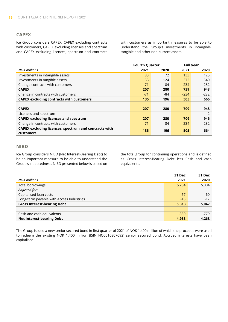#### **CAPEX**

Ice Group considers CAPEX, CAPEX excluding contracts with customers, CAPEX excluding licenses and spectrum and CAPEX excluding licences, spectrum and contracts with customers as important measures to be able to understand the Group's investments in intangible, tangible and other non-current assets.

|                                                       | <b>Fourth Quarter</b>    |                          |                          | <b>Full year</b> |  |  |
|-------------------------------------------------------|--------------------------|--------------------------|--------------------------|------------------|--|--|
| <b>NOK millions</b>                                   | 2021                     | 2020                     | 2021                     | 2020             |  |  |
| Investments in intangible assets                      | 83                       | 72                       | 133                      | 125              |  |  |
| Investments in tangible assets                        | 53                       | 124                      | 372                      | 540              |  |  |
| Change contracts with customers                       | 71                       | 84                       | 234                      | 282              |  |  |
| <b>CAPEX</b>                                          | 207                      | 280                      | 739                      | 948              |  |  |
| Change in contracts with customers                    | $-71$                    | -84                      | $-234$                   | $-282$           |  |  |
| <b>CAPEX excluding contracts with customers</b>       | 135                      | 196                      | 505                      | 666              |  |  |
|                                                       |                          |                          |                          |                  |  |  |
| <b>CAPEX</b>                                          | 207                      | 280                      | 709                      | 948              |  |  |
| Licences and spectrum                                 | $\overline{\phantom{0}}$ | $\overline{\phantom{a}}$ | $\overline{\phantom{0}}$ | $-2$             |  |  |
| <b>CAPEX excluding licences and spectrum</b>          | 207                      | 280                      | 709                      | 946              |  |  |
| Change in contracts with customers                    | $-71$                    | -84                      | $-234$                   | $-282$           |  |  |
| CAPEX excluding licences, spectrum and contracts with | 135                      |                          |                          |                  |  |  |
| <b>customers</b>                                      |                          | 196                      | 505                      | 664              |  |  |

#### **NIBD**

Ice Group considers NIBD (Net Interest-Bearing Debt) to be an important measure to be able to understand the Group's indebtedness. NIBD presented below is based on the total group for continuing operations and is defined as Gross Interest-Bearing Debt less Cash and cash equivalents.

|                                          | <b>31 Dec</b> | 31 Dec |
|------------------------------------------|---------------|--------|
| NOK millions                             | 2021          | 2020   |
| Total borrowings                         | 5,264         | 5,004  |
| Adjusted for:                            |               |        |
| Capitalised loan costs                   | 67            | 60     |
| Long-term payable with Access Industries | $-18$         | $-17$  |
| <b>Gross Interest-bearing Debt</b>       | 5,313         | 5,047  |
|                                          |               |        |
| Cash and cash equivalents                | $-380$        | $-779$ |
| <b>Net Interest-bearing Debt</b>         | 4,933         | 4,268  |

The Group issued a new senior secured bond in first quarter of 2021 of NOK 1,400 million of which the proceeds were used to redeem the existing NOK 1,400 million (ISIN NO0010807092) senior secured bond. Accrued interests have been capitalised.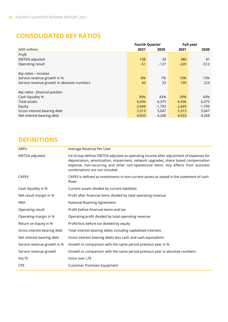# **CONSOLIDATED KEY RATIOS**

|                                            | <b>Fourth Quarter</b> |          | <b>Full year</b> |          |
|--------------------------------------------|-----------------------|----------|------------------|----------|
| <b>NOK</b> millions                        | 2021                  | 2020     | 2021             | 2020     |
| Profit                                     |                       |          |                  |          |
| EBITDA adjusted                            | 108                   | 30       | 380              | 41       |
| Operating result                           | $-51$                 | $-127$   | $-220$           | $-512$   |
|                                            |                       |          |                  |          |
| Key ratios – increase                      |                       |          |                  |          |
| Service revenue growth in %                | 8%                    | 7%       | 10%              | 13%      |
| Service revenue growth in absolute numbers | 43                    | 33       | 199              | 223      |
|                                            |                       |          |                  |          |
| Key ratios - financial position            |                       |          |                  |          |
| Cash liquidity %                           | 39%                   | 43%      | 39%              | 43%      |
| Total assets                               | 6,436                 | 6,375    | 6,436            | 6,375    |
| Equity                                     | $-2,649$              | $-1,793$ | $-2,649$         | $-1,793$ |
| Gross interest-bearing debt                | 5,313                 | 5,047    | 5,313            | 5,047    |
| Net interest-bearing debt                  | 4,933                 | 4,268    | 4,933            | 4,268    |

# **DEFINITIONS**

| ARPU                        | Average Revenue Per User                                                                                                                                                                                                                                                                            |
|-----------------------------|-----------------------------------------------------------------------------------------------------------------------------------------------------------------------------------------------------------------------------------------------------------------------------------------------------|
| EBITDA adjusted             | Ice Group defines EBITDA adjusted as operating income after adjustment of expenses for<br>depreciation, amortisation, impairment, network upgrades, share based compensation<br>expense, non-recurring and other non-operational items. Any effects from business<br>combinations are not included. |
| <b>CAPEX</b>                | CAPEX is defined as investments in non-current assets as stated in the statement of cash-<br>flows                                                                                                                                                                                                  |
| Cash liquidity in %         | Current assets divided by current liabilities                                                                                                                                                                                                                                                       |
| Net result margin in %      | Profit after financial items divided by total operating revenue                                                                                                                                                                                                                                     |
| <b>NRA</b>                  | National Roaming Agreement                                                                                                                                                                                                                                                                          |
| Operating result            | Profit before financial items and tax                                                                                                                                                                                                                                                               |
| Operating margin in %       | Operating profit divided by total operating revenue                                                                                                                                                                                                                                                 |
| Return on Equity in %       | Profit/loss before tax divided by equity                                                                                                                                                                                                                                                            |
| Gross interest-bearing debt | Total interest-bearing debts including capitalised interests                                                                                                                                                                                                                                        |
| Net interest-bearing debt   | Gross interest-bearing debts less cash and cash equivalents                                                                                                                                                                                                                                         |
| Service revenue growth in % | Growth in comparison with the same period previous year in %                                                                                                                                                                                                                                        |
| Service revenue growth      | Growth in comparison with the same period previous year in absolute numbers                                                                                                                                                                                                                         |
| VoLTE                       | Voice over LTE                                                                                                                                                                                                                                                                                      |
| <b>CPE</b>                  | <b>Customer Premises Equipment</b>                                                                                                                                                                                                                                                                  |